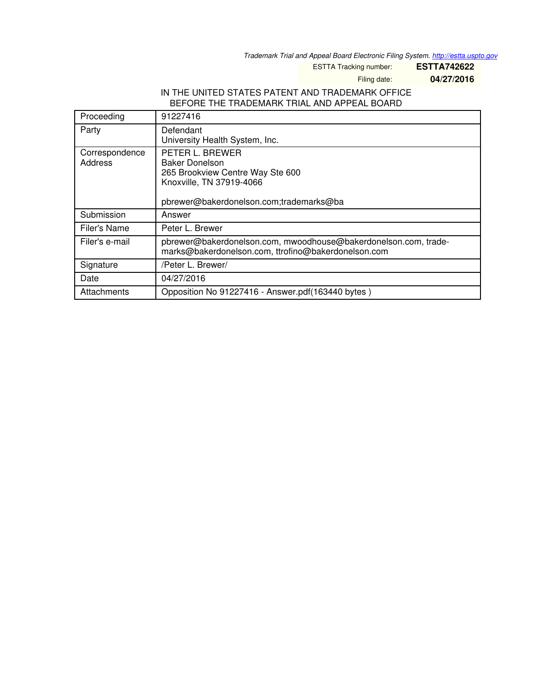*Trademark Trial and Appeal Board Electronic Filing System. <http://estta.uspto.gov>*

ESTTA Tracking number: **ESTTA742622**

Filing date: **04/27/2016**

# IN THE UNITED STATES PATENT AND TRADEMARK OFFICE BEFORE THE TRADEMARK TRIAL AND APPEAL BOARD

| Proceeding                | 91227416                                                                                                                                     |
|---------------------------|----------------------------------------------------------------------------------------------------------------------------------------------|
| Party                     | Defendant<br>University Health System, Inc.                                                                                                  |
| Correspondence<br>Address | PETER L. BREWER<br>Baker Donelson<br>265 Brookview Centre Way Ste 600<br>Knoxville, TN 37919-4066<br>pbrewer@bakerdonelson.com;trademarks@ba |
| Submission                | Answer                                                                                                                                       |
| Filer's Name              | Peter L. Brewer                                                                                                                              |
| Filer's e-mail            | pbrewer@bakerdonelson.com, mwoodhouse@bakerdonelson.com, trade-<br>marks@bakerdonelson.com, ttrofino@bakerdonelson.com                       |
| Signature                 | /Peter L. Brewer/                                                                                                                            |
| Date                      | 04/27/2016                                                                                                                                   |
| Attachments               | Opposition No 91227416 - Answer.pdf(163440 bytes)                                                                                            |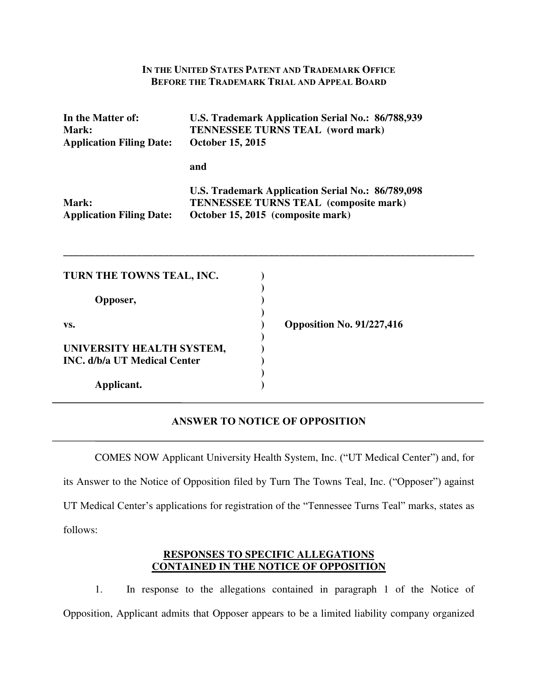#### **IN THE UNITED STATES PATENT AND TRADEMARK OFFICE BEFORE THE TRADEMARK TRIAL AND APPEAL BOARD**

| In the Matter of:<br>Mark:<br><b>Application Filing Date:</b> | U.S. Trademark Application Serial No.: 86/788,939<br><b>TENNESSEE TURNS TEAL (word mark)</b><br><b>October 15, 2015</b>                |  |  |
|---------------------------------------------------------------|----------------------------------------------------------------------------------------------------------------------------------------|--|--|
|                                                               | and                                                                                                                                    |  |  |
| Mark:<br><b>Application Filing Date:</b>                      | U.S. Trademark Application Serial No.: 86/789,098<br><b>TENNESSEE TURNS TEAL (composite mark)</b><br>October 15, 2015 (composite mark) |  |  |

| TURN THE TOWNS TEAL, INC.           |                                  |
|-------------------------------------|----------------------------------|
| Opposer,                            |                                  |
| VS.                                 | <b>Opposition No. 91/227,416</b> |
| UNIVERSITY HEALTH SYSTEM,           |                                  |
| <b>INC.</b> d/b/a UT Medical Center |                                  |
| licant.                             |                                  |

# **ANSWER TO NOTICE OF OPPOSITION**

**\_\_\_\_\_\_\_\_\_\_\_\_\_\_\_\_\_\_\_\_\_\_\_\_\_\_\_\_\_\_\_\_\_\_\_\_\_\_\_\_\_\_\_\_\_\_\_\_\_\_\_\_\_\_\_\_\_\_\_\_\_\_\_\_\_\_\_\_\_\_\_\_\_\_\_\_\_\_** 

COMES NOW Applicant University Health System, Inc. ("UT Medical Center") and, for its Answer to the Notice of Opposition filed by Turn The Towns Teal, Inc. ("Opposer") against UT Medical Center's applications for registration of the "Tennessee Turns Teal" marks, states as follows:

### **RESPONSES TO SPECIFIC ALLEGATIONS CONTAINED IN THE NOTICE OF OPPOSITION**

1. In response to the allegations contained in paragraph 1 of the Notice of Opposition, Applicant admits that Opposer appears to be a limited liability company organized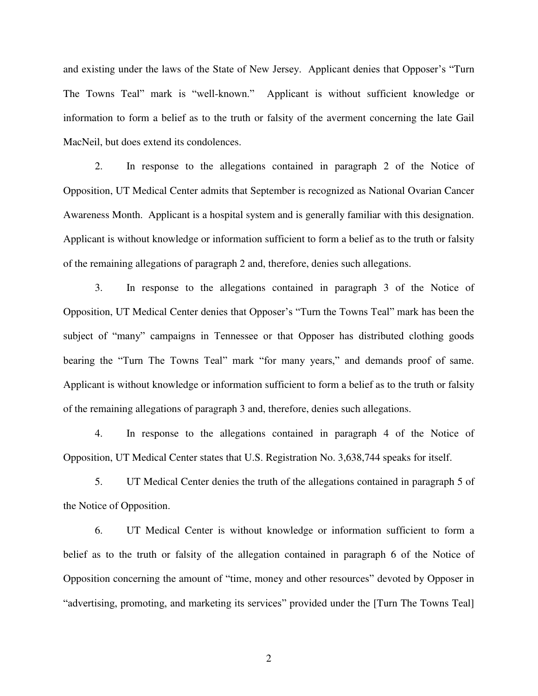and existing under the laws of the State of New Jersey. Applicant denies that Opposer's "Turn The Towns Teal" mark is "well-known." Applicant is without sufficient knowledge or information to form a belief as to the truth or falsity of the averment concerning the late Gail MacNeil, but does extend its condolences.

2. In response to the allegations contained in paragraph 2 of the Notice of Opposition, UT Medical Center admits that September is recognized as National Ovarian Cancer Awareness Month. Applicant is a hospital system and is generally familiar with this designation. Applicant is without knowledge or information sufficient to form a belief as to the truth or falsity of the remaining allegations of paragraph 2 and, therefore, denies such allegations.

3. In response to the allegations contained in paragraph 3 of the Notice of Opposition, UT Medical Center denies that Opposer's "Turn the Towns Teal" mark has been the subject of "many" campaigns in Tennessee or that Opposer has distributed clothing goods bearing the "Turn The Towns Teal" mark "for many years," and demands proof of same. Applicant is without knowledge or information sufficient to form a belief as to the truth or falsity of the remaining allegations of paragraph 3 and, therefore, denies such allegations.

4. In response to the allegations contained in paragraph 4 of the Notice of Opposition, UT Medical Center states that U.S. Registration No. 3,638,744 speaks for itself.

5. UT Medical Center denies the truth of the allegations contained in paragraph 5 of the Notice of Opposition.

6. UT Medical Center is without knowledge or information sufficient to form a belief as to the truth or falsity of the allegation contained in paragraph 6 of the Notice of Opposition concerning the amount of "time, money and other resources" devoted by Opposer in "advertising, promoting, and marketing its services" provided under the [Turn The Towns Teal]

2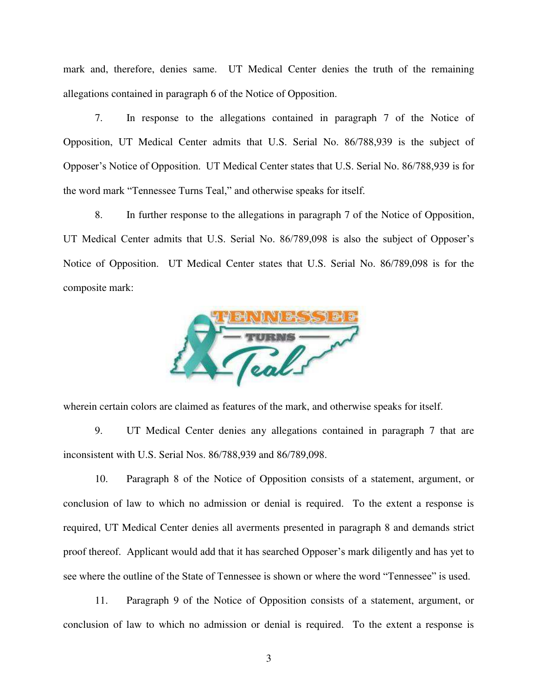mark and, therefore, denies same. UT Medical Center denies the truth of the remaining allegations contained in paragraph 6 of the Notice of Opposition.

7. In response to the allegations contained in paragraph 7 of the Notice of Opposition, UT Medical Center admits that U.S. Serial No. 86/788,939 is the subject of Opposer's Notice of Opposition. UT Medical Center states that U.S. Serial No. 86/788,939 is for the word mark "Tennessee Turns Teal," and otherwise speaks for itself.

8. In further response to the allegations in paragraph 7 of the Notice of Opposition, UT Medical Center admits that U.S. Serial No. 86/789,098 is also the subject of Opposer's Notice of Opposition. UT Medical Center states that U.S. Serial No. 86/789,098 is for the composite mark:



wherein certain colors are claimed as features of the mark, and otherwise speaks for itself.

9. UT Medical Center denies any allegations contained in paragraph 7 that are inconsistent with U.S. Serial Nos. 86/788,939 and 86/789,098.

10. Paragraph 8 of the Notice of Opposition consists of a statement, argument, or conclusion of law to which no admission or denial is required. To the extent a response is required, UT Medical Center denies all averments presented in paragraph 8 and demands strict proof thereof. Applicant would add that it has searched Opposer's mark diligently and has yet to see where the outline of the State of Tennessee is shown or where the word "Tennessee" is used.

11. Paragraph 9 of the Notice of Opposition consists of a statement, argument, or conclusion of law to which no admission or denial is required. To the extent a response is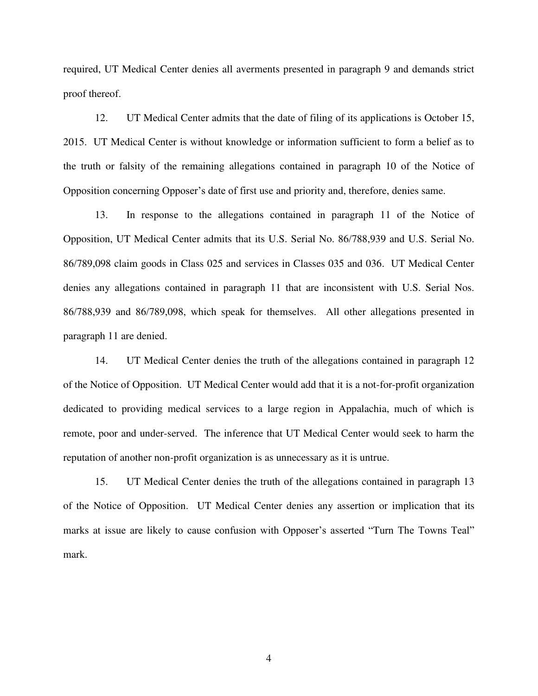required, UT Medical Center denies all averments presented in paragraph 9 and demands strict proof thereof.

12. UT Medical Center admits that the date of filing of its applications is October 15, 2015. UT Medical Center is without knowledge or information sufficient to form a belief as to the truth or falsity of the remaining allegations contained in paragraph 10 of the Notice of Opposition concerning Opposer's date of first use and priority and, therefore, denies same.

13. In response to the allegations contained in paragraph 11 of the Notice of Opposition, UT Medical Center admits that its U.S. Serial No. 86/788,939 and U.S. Serial No. 86/789,098 claim goods in Class 025 and services in Classes 035 and 036. UT Medical Center denies any allegations contained in paragraph 11 that are inconsistent with U.S. Serial Nos. 86/788,939 and 86/789,098, which speak for themselves. All other allegations presented in paragraph 11 are denied.

14. UT Medical Center denies the truth of the allegations contained in paragraph 12 of the Notice of Opposition. UT Medical Center would add that it is a not-for-profit organization dedicated to providing medical services to a large region in Appalachia, much of which is remote, poor and under-served. The inference that UT Medical Center would seek to harm the reputation of another non-profit organization is as unnecessary as it is untrue.

15. UT Medical Center denies the truth of the allegations contained in paragraph 13 of the Notice of Opposition. UT Medical Center denies any assertion or implication that its marks at issue are likely to cause confusion with Opposer's asserted "Turn The Towns Teal" mark.

4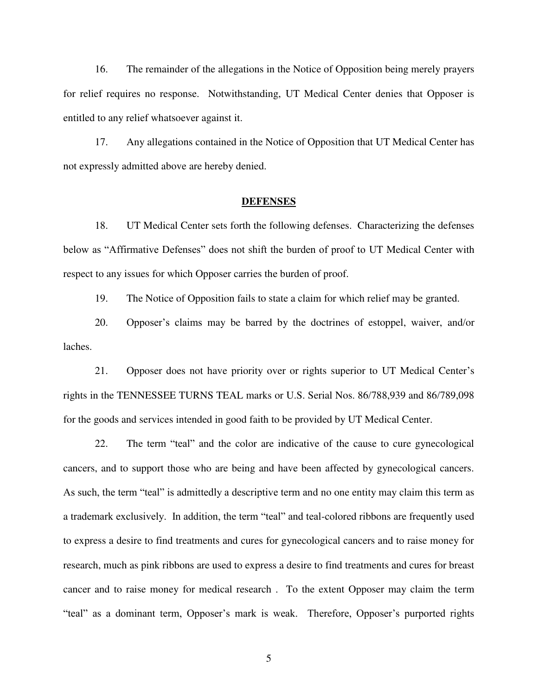16. The remainder of the allegations in the Notice of Opposition being merely prayers for relief requires no response. Notwithstanding, UT Medical Center denies that Opposer is entitled to any relief whatsoever against it.

17. Any allegations contained in the Notice of Opposition that UT Medical Center has not expressly admitted above are hereby denied.

#### **DEFENSES**

18. UT Medical Center sets forth the following defenses. Characterizing the defenses below as "Affirmative Defenses" does not shift the burden of proof to UT Medical Center with respect to any issues for which Opposer carries the burden of proof.

19. The Notice of Opposition fails to state a claim for which relief may be granted.

20. Opposer's claims may be barred by the doctrines of estoppel, waiver, and/or laches.

21. Opposer does not have priority over or rights superior to UT Medical Center's rights in the TENNESSEE TURNS TEAL marks or U.S. Serial Nos. 86/788,939 and 86/789,098 for the goods and services intended in good faith to be provided by UT Medical Center.

22. The term "teal" and the color are indicative of the cause to cure gynecological cancers, and to support those who are being and have been affected by gynecological cancers. As such, the term "teal" is admittedly a descriptive term and no one entity may claim this term as a trademark exclusively. In addition, the term "teal" and teal-colored ribbons are frequently used to express a desire to find treatments and cures for gynecological cancers and to raise money for research, much as pink ribbons are used to express a desire to find treatments and cures for breast cancer and to raise money for medical research . To the extent Opposer may claim the term "teal" as a dominant term, Opposer's mark is weak. Therefore, Opposer's purported rights

5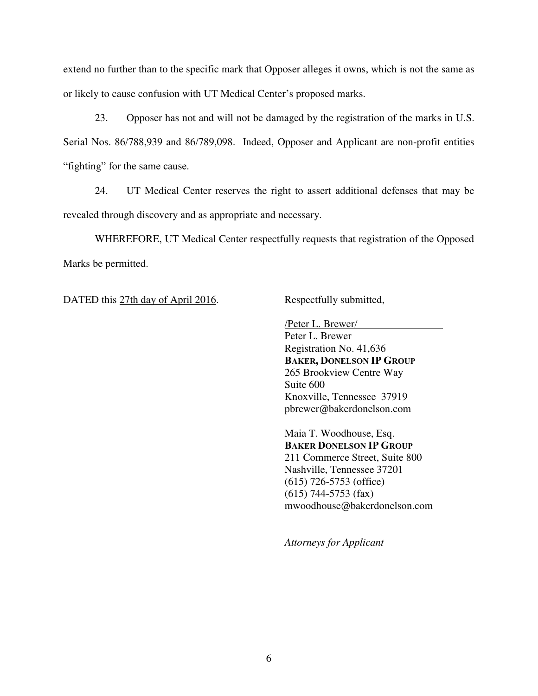extend no further than to the specific mark that Opposer alleges it owns, which is not the same as or likely to cause confusion with UT Medical Center's proposed marks.

23. Opposer has not and will not be damaged by the registration of the marks in U.S. Serial Nos. 86/788,939 and 86/789,098. Indeed, Opposer and Applicant are non-profit entities "fighting" for the same cause.

24. UT Medical Center reserves the right to assert additional defenses that may be revealed through discovery and as appropriate and necessary.

WHEREFORE, UT Medical Center respectfully requests that registration of the Opposed Marks be permitted.

DATED this 27th day of April 2016. Respectfully submitted,

/Peter L. Brewer/

Peter L. Brewer Registration No. 41,636 **BAKER, DONELSON IP GROUP** 265 Brookview Centre Way Suite 600 Knoxville, Tennessee 37919 pbrewer@bakerdonelson.com

Maia T. Woodhouse, Esq. **BAKER DONELSON IP GROUP** 211 Commerce Street, Suite 800 Nashville, Tennessee 37201 (615) 726-5753 (office) (615) 744-5753 (fax) mwoodhouse@bakerdonelson.com

*Attorneys for Applicant*